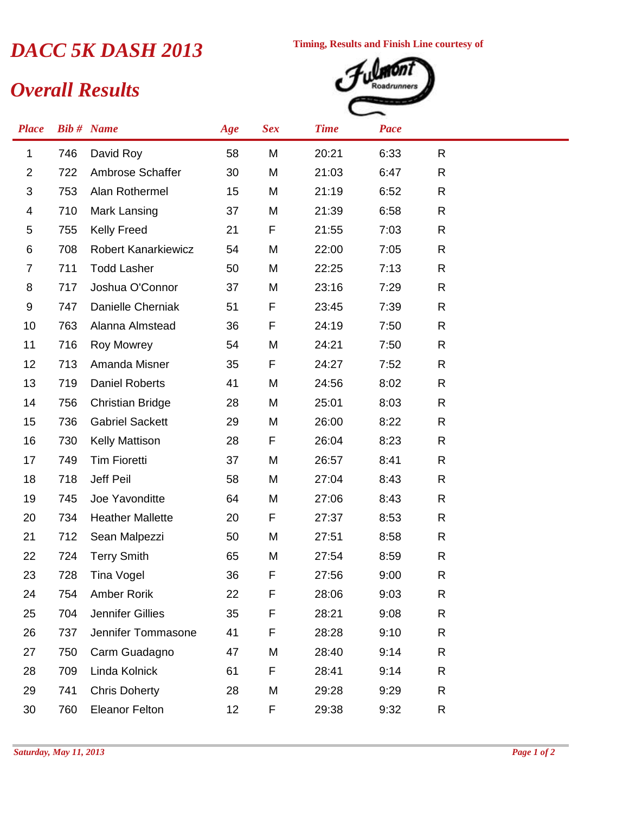## *DACC 5K DASH 2013* Timing, Results and Finish Line courtesy of<br> *Quercall Results*

*Overall Results*



| <b>Place</b>   |     | <b>Bib#</b> Name           | Age | <b>Sex</b> | <b>Time</b> | Pace |    |  |
|----------------|-----|----------------------------|-----|------------|-------------|------|----|--|
| 1              | 746 | David Roy                  | 58  | M          | 20:21       | 6:33 | R. |  |
| $\overline{2}$ | 722 | Ambrose Schaffer           | 30  | M          | 21:03       | 6:47 | R  |  |
| 3              | 753 | Alan Rothermel             | 15  | M          | 21:19       | 6:52 | R  |  |
| 4              | 710 | Mark Lansing               | 37  | M          | 21:39       | 6:58 | R  |  |
| 5              | 755 | <b>Kelly Freed</b>         | 21  | F          | 21:55       | 7:03 | R  |  |
| 6              | 708 | <b>Robert Kanarkiewicz</b> | 54  | M          | 22:00       | 7:05 | R  |  |
| 7              | 711 | <b>Todd Lasher</b>         | 50  | M          | 22:25       | 7:13 | R  |  |
| 8              | 717 | Joshua O'Connor            | 37  | M          | 23:16       | 7:29 | R  |  |
| 9              | 747 | Danielle Cherniak          | 51  | F          | 23:45       | 7:39 | R  |  |
| 10             | 763 | Alanna Almstead            | 36  | F          | 24:19       | 7:50 | R  |  |
| 11             | 716 | <b>Roy Mowrey</b>          | 54  | M          | 24:21       | 7:50 | R  |  |
| 12             | 713 | Amanda Misner              | 35  | F          | 24:27       | 7:52 | R  |  |
| 13             | 719 | <b>Daniel Roberts</b>      | 41  | M          | 24:56       | 8:02 | R  |  |
| 14             | 756 | <b>Christian Bridge</b>    | 28  | M          | 25:01       | 8:03 | R  |  |
| 15             | 736 | <b>Gabriel Sackett</b>     | 29  | M          | 26:00       | 8:22 | R  |  |
| 16             | 730 | <b>Kelly Mattison</b>      | 28  | F          | 26:04       | 8:23 | R  |  |
| 17             | 749 | <b>Tim Fioretti</b>        | 37  | M          | 26:57       | 8:41 | R  |  |
| 18             | 718 | Jeff Peil                  | 58  | M          | 27:04       | 8:43 | R  |  |
| 19             | 745 | Joe Yavonditte             | 64  | M          | 27:06       | 8:43 | R  |  |
| 20             | 734 | <b>Heather Mallette</b>    | 20  | F          | 27:37       | 8:53 | R  |  |
| 21             | 712 | Sean Malpezzi              | 50  | M          | 27:51       | 8:58 | R  |  |
| 22             | 724 | <b>Terry Smith</b>         | 65  | M          | 27:54       | 8:59 | R  |  |
| 23             | 728 | <b>Tina Vogel</b>          | 36  | F          | 27:56       | 9:00 | R  |  |
| 24             | 754 | Amber Rorik                | 22  | F          | 28:06       | 9:03 | R  |  |
| 25             | 704 | Jennifer Gillies           | 35  | F          | 28:21       | 9:08 | R  |  |
| 26             | 737 | Jennifer Tommasone         | 41  | F          | 28:28       | 9:10 | R  |  |
| 27             | 750 | Carm Guadagno              | 47  | M          | 28:40       | 9:14 | R  |  |
| 28             | 709 | Linda Kolnick              | 61  | F          | 28:41       | 9:14 | R  |  |
| 29             | 741 | <b>Chris Doherty</b>       | 28  | M          | 29:28       | 9:29 | R  |  |
| 30             | 760 | <b>Eleanor Felton</b>      | 12  | F          | 29:38       | 9:32 | R  |  |
|                |     |                            |     |            |             |      |    |  |